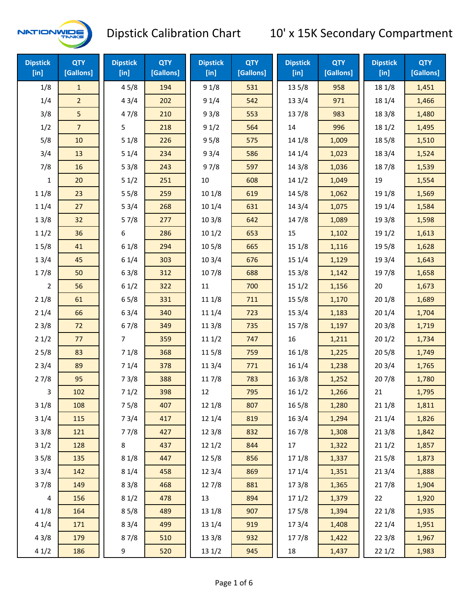

| <b>Dipstick</b><br>[in] | <b>QTY</b><br>[Gallons] | <b>Dipstick</b><br>$[$ in] | <b>QTY</b><br>[Gallons] | <b>Dipstick</b><br>[in] | <b>QTY</b><br>[Gallons] | <b>Dipstick</b><br>$[$ in] | <b>QTY</b><br>[Gallons] | <b>Dipstick</b><br>$[$ in] | <b>QTY</b><br>[Gallons] |
|-------------------------|-------------------------|----------------------------|-------------------------|-------------------------|-------------------------|----------------------------|-------------------------|----------------------------|-------------------------|
| 1/8                     | $\mathbf{1}$            | 45/8                       | 194                     | 91/8                    | 531                     | 13 5/8                     | 958                     | 18 1/8                     | 1,451                   |
| 1/4                     | $\overline{2}$          | 43/4                       | 202                     | 91/4                    | 542                     | 13 3/4                     | 971                     | 18 1/4                     | 1,466                   |
| 3/8                     | 5                       | 47/8                       | 210                     | 93/8                    | 553                     | 137/8                      | 983                     | 18 3/8                     | 1,480                   |
| 1/2                     | $\overline{7}$          | 5                          | 218                     | 91/2                    | 564                     | 14                         | 996                     | 18 1/2                     | 1,495                   |
| 5/8                     | $10\,$                  | 51/8                       | 226                     | 95/8                    | 575                     | 14 1/8                     | 1,009                   | 185/8                      | 1,510                   |
| 3/4                     | 13                      | 51/4                       | 234                     | 93/4                    | 586                     | 14 1/4                     | 1,023                   | 18 3/4                     | 1,524                   |
| 7/8                     | 16                      | 53/8                       | 243                     | 97/8                    | 597                     | 14 3/8                     | 1,036                   | 187/8                      | 1,539                   |
| $\mathbf{1}$            | 20                      | 51/2                       | 251                     | 10                      | 608                     | 141/2                      | 1,049                   | 19                         | 1,554                   |
| 11/8                    | 23                      | 55/8                       | 259                     | 10 1/8                  | 619                     | 14 5/8                     | 1,062                   | 19 1/8                     | 1,569                   |
| 11/4                    | 27                      | 53/4                       | 268                     | 10 1/4                  | 631                     | 14 3/4                     | 1,075                   | 19 1/4                     | 1,584                   |
| 13/8                    | 32                      | 57/8                       | 277                     | 103/8                   | 642                     | 147/8                      | 1,089                   | 19 3/8                     | 1,598                   |
| 11/2                    | 36                      | 6                          | 286                     | 101/2                   | 653                     | 15                         | 1,102                   | 19 1/2                     | 1,613                   |
| 15/8                    | 41                      | 61/8                       | 294                     | 10 <sub>5</sub> /8      | 665                     | 15 1/8                     | 1,116                   | 195/8                      | 1,628                   |
| 13/4                    | 45                      | 61/4                       | 303                     | 103/4                   | 676                     | 15 1/4                     | 1,129                   | 19 3/4                     | 1,643                   |
| 17/8                    | 50                      | 63/8                       | 312                     | 107/8                   | 688                     | 15 3/8                     | 1,142                   | 197/8                      | 1,658                   |
| $\overline{2}$          | 56                      | 61/2                       | 322                     | 11                      | 700                     | 151/2                      | 1,156                   | 20                         | 1,673                   |
| 21/8                    | 61                      | 65/8                       | 331                     | 11 1/8                  | 711                     | 15 5/8                     | 1,170                   | 201/8                      | 1,689                   |
| 21/4                    | 66                      | 63/4                       | 340                     | 11 1/4                  | 723                     | 153/4                      | 1,183                   | 201/4                      | 1,704                   |
| 23/8                    | 72                      | 67/8                       | 349                     | 11 3/8                  | 735                     | 15 7/8                     | 1,197                   | 203/8                      | 1,719                   |
| 21/2                    | 77                      | 7                          | 359                     | 11 1/2                  | 747                     | 16                         | 1,211                   | 201/2                      | 1,734                   |
| 25/8                    | 83                      | 71/8                       | 368                     | 11 5/8                  | 759                     | 161/8                      | 1,225                   | 205/8                      | 1,749                   |
| 23/4                    | 89                      | 71/4                       | 378                     | 113/4                   | 771                     | 16 1/4                     | 1,238                   | 203/4                      | 1,765                   |
| 27/8                    | 95                      | 73/8                       | 388                     | 11 7/8                  | 783                     | 16 3/8                     | 1,252                   | 207/8                      | 1,780                   |
| 3                       | 102                     | 71/2                       | 398                     | 12                      | 795                     | 161/2                      | 1,266                   | 21                         | 1,795                   |
| 31/8                    | 108                     | 75/8                       | 407                     | 12 1/8                  | 807                     | 16 5/8                     | 1,280                   | 211/8                      | 1,811                   |
| 31/4                    | 115                     | 73/4                       | 417                     | 12 1/4                  | 819                     | 16 3/4                     | 1,294                   | 211/4                      | 1,826                   |
| 33/8                    | 121                     | 77/8                       | 427                     | 12 3/8                  | 832                     | 16 7/8                     | 1,308                   | 213/8                      | 1,842                   |
| 31/2                    | 128                     | 8                          | 437                     | 12 1/2                  | 844                     | 17                         | 1,322                   | 211/2                      | 1,857                   |
| 35/8                    | 135                     | 81/8                       | 447                     | 12 5/8                  | 856                     | 17 1/8                     | 1,337                   | 215/8                      | 1,873                   |
| 33/4                    | 142                     | 81/4                       | 458                     | 12 3/4                  | 869                     | 17 1/4                     | 1,351                   | 213/4                      | 1,888                   |
| 37/8                    | 149                     | 83/8                       | 468                     | 12 7/8                  | 881                     | 173/8                      | 1,365                   | 217/8                      | 1,904                   |
| $\overline{\mathbf{4}}$ | 156                     | 81/2                       | 478                     | 13                      | 894                     | 171/2                      | 1,379                   | 22                         | 1,920                   |
| 41/8                    | 164                     | 85/8                       | 489                     | 13 1/8                  | 907                     | 175/8                      | 1,394                   | 221/8                      | 1,935                   |
| 41/4                    | 171                     | 83/4                       | 499                     | 13 1/4                  | 919                     | 17 3/4                     | 1,408                   | 221/4                      | 1,951                   |
| 43/8                    | 179                     | 87/8                       | 510                     | 13 3/8                  | 932                     | 177/8                      | 1,422                   | 223/8                      | 1,967                   |
| 41/2                    | 186                     | 9                          | 520                     | 13 1/2                  | 945                     | 18                         | 1,437                   | 221/2                      | 1,983                   |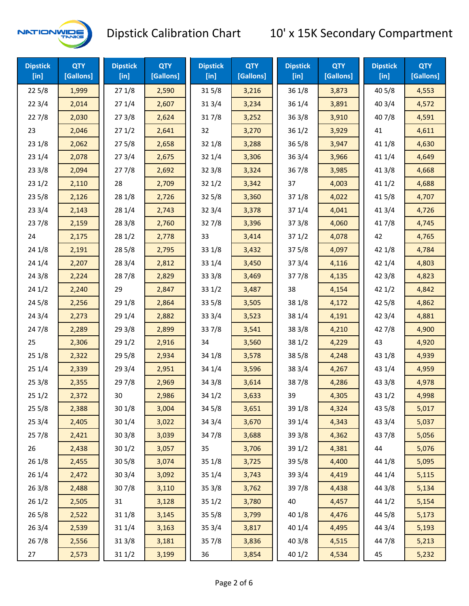

| <b>Dipstick</b><br>$[$ in] | <b>QTY</b><br>[Gallons] | <b>Dipstick</b><br>$[$ in] | <b>QTY</b><br>[Gallons] | <b>Dipstick</b><br>[in] | <b>QTY</b><br>[Gallons] | <b>Dipstick</b><br>$[$ in] | <b>QTY</b><br>[Gallons] | <b>Dipstick</b><br>$[$ in] | <b>QTY</b><br>[Gallons] |
|----------------------------|-------------------------|----------------------------|-------------------------|-------------------------|-------------------------|----------------------------|-------------------------|----------------------------|-------------------------|
| 225/8                      | 1,999                   | 271/8                      | 2,590                   | 315/8                   | 3,216                   | 36 1/8                     | 3,873                   | 40 5/8                     | 4,553                   |
| 223/4                      | 2,014                   | 271/4                      | 2,607                   | 313/4                   | 3,234                   | 36 1/4                     | 3,891                   | 403/4                      | 4,572                   |
| 227/8                      | 2,030                   | 273/8                      | 2,624                   | 317/8                   | 3,252                   | 36 3/8                     | 3,910                   | 407/8                      | 4,591                   |
| 23                         | 2,046                   | 271/2                      | 2,641                   | 32                      | 3,270                   | 36 1/2                     | 3,929                   | 41                         | 4,611                   |
| 231/8                      | 2,062                   | 275/8                      | 2,658                   | 32 1/8                  | 3,288                   | 36 5/8                     | 3,947                   | 41 1/8                     | 4,630                   |
| 231/4                      | 2,078                   | 273/4                      | 2,675                   | 32 1/4                  | 3,306                   | 36 3/4                     | 3,966                   | 41 1/4                     | 4,649                   |
| 233/8                      | 2,094                   | 277/8                      | 2,692                   | 323/8                   | 3,324                   | 367/8                      | 3,985                   | 41 3/8                     | 4,668                   |
| 231/2                      | 2,110                   | 28                         | 2,709                   | 321/2                   | 3,342                   | 37                         | 4,003                   | 411/2                      | 4,688                   |
| 235/8                      | 2,126                   | 28 1/8                     | 2,726                   | 325/8                   | 3,360                   | 37 1/8                     | 4,022                   | 41 5/8                     | 4,707                   |
| 233/4                      | 2,143                   | 28 1/4                     | 2,743                   | 32 3/4                  | 3,378                   | 37 1/4                     | 4,041                   | 41 3/4                     | 4,726                   |
| 237/8                      | 2,159                   | 28 3/8                     | 2,760                   | 327/8                   | 3,396                   | 373/8                      | 4,060                   | 417/8                      | 4,745                   |
| 24                         | 2,175                   | 281/2                      | 2,778                   | 33                      | 3,414                   | 371/2                      | 4,078                   | 42                         | 4,765                   |
| 24 1/8                     | 2,191                   | 285/8                      | 2,795                   | 33 1/8                  | 3,432                   | 37 5/8                     | 4,097                   | 42 1/8                     | 4,784                   |
| 241/4                      | 2,207                   | 283/4                      | 2,812                   | 33 1/4                  | 3,450                   | 37 3/4                     | 4,116                   | 42 1/4                     | 4,803                   |
| 243/8                      | 2,224                   | 287/8                      | 2,829                   | 33 3/8                  | 3,469                   | 377/8                      | 4,135                   | 42 3/8                     | 4,823                   |
| 241/2                      | 2,240                   | 29                         | 2,847                   | 331/2                   | 3,487                   | 38                         | 4,154                   | 421/2                      | 4,842                   |
| 245/8                      | 2,256                   | 29 1/8                     | 2,864                   | 33 5/8                  | 3,505                   | 38 1/8                     | 4,172                   | 42 5/8                     | 4,862                   |
| 243/4                      | 2,273                   | 29 1/4                     | 2,882                   | 33 3/4                  | 3,523                   | 38 1/4                     | 4,191                   | 42 3/4                     | 4,881                   |
| 24 7/8                     | 2,289                   | 293/8                      | 2,899                   | 337/8                   | 3,541                   | 38 3/8                     | 4,210                   | 42 7/8                     | 4,900                   |
| 25                         | 2,306                   | 291/2                      | 2,916                   | 34                      | 3,560                   | 38 1/2                     | 4,229                   | 43                         | 4,920                   |
| 251/8                      | 2,322                   | 29 5/8                     | 2,934                   | 34 1/8                  | 3,578                   | 38 5/8                     | 4,248                   | 43 1/8                     | 4,939                   |
| 251/4                      | 2,339                   | 29 3/4                     | 2,951                   | 34 1/4                  | 3,596                   | 38 3/4                     | 4,267                   | 43 1/4                     | 4,959                   |
| 253/8                      | 2,355                   | 297/8                      | 2,969                   | 34 3/8                  | 3,614                   | 387/8                      | 4,286                   | 43 3/8                     | 4,978                   |
| 251/2                      | 2,372                   | 30                         | 2,986                   | 34 1/2                  | 3,633                   | 39                         | 4,305                   | 43 1/2                     | 4,998                   |
| 255/8                      | 2,388                   | 30 1/8                     | 3,004                   | 34 5/8                  | 3,651                   | 39 1/8                     | 4,324                   | 43 5/8                     | 5,017                   |
| 253/4                      | 2,405                   | 30 1/4                     | 3,022                   | 34 3/4                  | 3,670                   | 39 1/4                     | 4,343                   | 43 3/4                     | 5,037                   |
| 257/8                      | 2,421                   | 30 3/8                     | 3,039                   | 347/8                   | 3,688                   | 39 3/8                     | 4,362                   | 437/8                      | 5,056                   |
| 26                         | 2,438                   | 301/2                      | 3,057                   | 35                      | 3,706                   | 39 1/2                     | 4,381                   | 44                         | 5,076                   |
| 26 1/8                     | 2,455                   | 305/8                      | 3,074                   | 35 1/8                  | 3,725                   | 39 5/8                     | 4,400                   | 44 1/8                     | 5,095                   |
| 26 1/4                     | 2,472                   | 30 3/4                     | 3,092                   | 35 1/4                  | 3,743                   | 39 3/4                     | 4,419                   | 44 1/4                     | 5,115                   |
| 263/8                      | 2,488                   | 307/8                      | 3,110                   | 35 3/8                  | 3,762                   | 397/8                      | 4,438                   | 44 3/8                     | 5,134                   |
| 261/2                      | 2,505                   | 31                         | 3,128                   | 35 1/2                  | 3,780                   | 40                         | 4,457                   | 44 1/2                     | 5,154                   |
| 265/8                      | 2,522                   | 31 1/8                     | 3,145                   | 35 5/8                  | 3,799                   | 40 1/8                     | 4,476                   | 44 5/8                     | 5,173                   |
| 263/4                      | 2,539                   | 31 1/4                     | 3,163                   | 35 3/4                  | 3,817                   | 40 1/4                     | 4,495                   | 44 3/4                     | 5,193                   |
| 267/8                      | 2,556                   | 31 3/8                     | 3,181                   | 357/8                   | 3,836                   | 40 3/8                     | 4,515                   | 447/8                      | 5,213                   |
| 27                         | 2,573                   | 311/2                      | 3,199                   | 36                      | 3,854                   | 40 1/2                     | 4,534                   | 45                         | 5,232                   |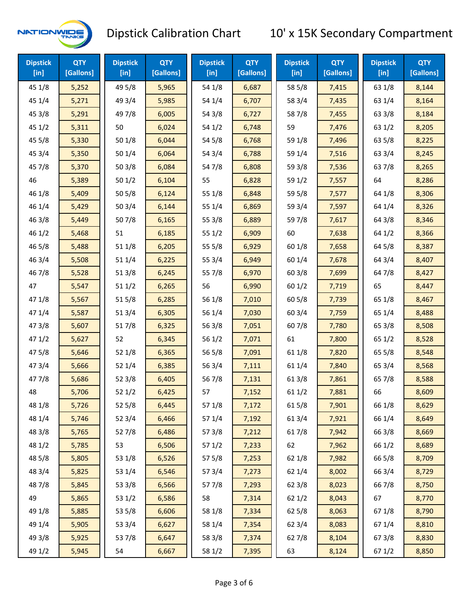

| <b>Dipstick</b><br>$[$ in] | <b>QTY</b><br>[Gallons] | <b>Dipstick</b><br>$[$ in] | <b>QTY</b><br>[Gallons] | <b>Dipstick</b><br>[in] | <b>QTY</b><br>[Gallons] | <b>Dipstick</b><br>$[$ in] | <b>QTY</b><br>[Gallons] | <b>Dipstick</b><br>$[$ in] | <b>QTY</b><br>[Gallons] |
|----------------------------|-------------------------|----------------------------|-------------------------|-------------------------|-------------------------|----------------------------|-------------------------|----------------------------|-------------------------|
| 45 1/8                     | 5,252                   | 49 5/8                     | 5,965                   | 54 1/8                  | 6,687                   | 58 5/8                     | 7,415                   | 63 1/8                     | 8,144                   |
| 45 1/4                     | 5,271                   | 49 3/4                     | 5,985                   | 54 1/4                  | 6,707                   | 58 3/4                     | 7,435                   | 63 1/4                     | 8,164                   |
| 45 3/8                     | 5,291                   | 49 7/8                     | 6,005                   | 54 3/8                  | 6,727                   | 587/8                      | 7,455                   | 63 3/8                     | 8,184                   |
| 451/2                      | 5,311                   | 50                         | 6,024                   | 54 1/2                  | 6,748                   | 59                         | 7,476                   | 63 1/2                     | 8,205                   |
| 45 5/8                     | 5,330                   | 50 1/8                     | 6,044                   | 54 5/8                  | 6,768                   | 59 1/8                     | 7,496                   | 63 5/8                     | 8,225                   |
| 45 3/4                     | 5,350                   | 50 1/4                     | 6,064                   | 54 3/4                  | 6,788                   | 59 1/4                     | 7,516                   | 63 3/4                     | 8,245                   |
| 45 7/8                     | 5,370                   | 503/8                      | 6,084                   | 54 7/8                  | 6,808                   | 59 3/8                     | 7,536                   | 637/8                      | 8,265                   |
| 46                         | 5,389                   | 501/2                      | 6,104                   | 55                      | 6,828                   | 59 1/2                     | 7,557                   | 64                         | 8,286                   |
| 46 1/8                     | 5,409                   | 505/8                      | 6,124                   | 55 1/8                  | 6,848                   | 59 5/8                     | 7,577                   | 64 1/8                     | 8,306                   |
| 46 1/4                     | 5,429                   | 503/4                      | 6,144                   | 55 1/4                  | 6,869                   | 59 3/4                     | 7,597                   | 64 1/4                     | 8,326                   |
| 463/8                      | 5,449                   | 507/8                      | 6,165                   | 55 3/8                  | 6,889                   | 597/8                      | 7,617                   | 64 3/8                     | 8,346                   |
| 46 1/2                     | 5,468                   | 51                         | 6,185                   | 55 1/2                  | 6,909                   | 60                         | 7,638                   | 64 1/2                     | 8,366                   |
| 46 5/8                     | 5,488                   | 511/8                      | 6,205                   | 55 5/8                  | 6,929                   | 60 1/8                     | 7,658                   | 64 5/8                     | 8,387                   |
| 46 3/4                     | 5,508                   | 51 1/4                     | 6,225                   | 55 3/4                  | 6,949                   | 60 1/4                     | 7,678                   | 64 3/4                     | 8,407                   |
| 46 7/8                     | 5,528                   | 513/8                      | 6,245                   | 55 7/8                  | 6,970                   | 60 3/8                     | 7,699                   | 647/8                      | 8,427                   |
| 47                         | 5,547                   | 511/2                      | 6,265                   | 56                      | 6,990                   | 601/2                      | 7,719                   | 65                         | 8,447                   |
| 47 1/8                     | 5,567                   | 515/8                      | 6,285                   | 56 1/8                  | 7,010                   | 60 5/8                     | 7,739                   | 65 1/8                     | 8,467                   |
| 47 1/4                     | 5,587                   | 513/4                      | 6,305                   | 56 1/4                  | 7,030                   | 60 3/4                     | 7,759                   | 65 1/4                     | 8,488                   |
| 47 3/8                     | 5,607                   | 517/8                      | 6,325                   | 56 3/8                  | 7,051                   | 607/8                      | 7,780                   | 65 3/8                     | 8,508                   |
| 471/2                      | 5,627                   | 52                         | 6,345                   | 56 1/2                  | 7,071                   | 61                         | 7,800                   | 65 1/2                     | 8,528                   |
| 475/8                      | 5,646                   | 52 1/8                     | 6,365                   | 56 5/8                  | 7,091                   | 61 1/8                     | 7,820                   | 65 5/8                     | 8,548                   |
| 47 3/4                     | 5,666                   | 52 1/4                     | 6,385                   | 56 3/4                  | 7,111                   | 61 1/4                     | 7,840                   | 65 3/4                     | 8,568                   |
| 47 7/8                     | 5,686                   | 52 3/8                     | 6,405                   | 567/8                   | 7,131                   | 61 3/8                     | 7,861                   | 65 7/8                     | 8,588                   |
| 48                         | 5,706                   | 521/2                      | 6,425                   | 57                      | 7,152                   | 611/2                      | 7,881                   | 66                         | 8,609                   |
| 48 1/8                     | 5,726                   | 525/8                      | 6,445                   | 57 1/8                  | 7,172                   | 615/8                      | 7,901                   | 66 1/8                     | 8,629                   |
| 48 1/4                     | 5,746                   | 52 3/4                     | 6,466                   | 57 1/4                  | 7,192                   | 61 3/4                     | 7,921                   | 66 1/4                     | 8,649                   |
| 48 3/8                     | 5,765                   | 527/8                      | 6,486                   | 57 3/8                  | 7,212                   | 617/8                      | 7,942                   | 66 3/8                     | 8,669                   |
| 48 1/2                     | 5,785                   | 53                         | 6,506                   | 57 1/2                  | 7,233                   | 62                         | 7,962                   | 66 1/2                     | 8,689                   |
| 48 5/8                     | 5,805                   | 53 1/8                     | 6,526                   | 57 5/8                  | 7,253                   | 62 1/8                     | 7,982                   | 66 5/8                     | 8,709                   |
| 48 3/4                     | 5,825                   | 53 1/4                     | 6,546                   | 573/4                   | 7,273                   | 62 1/4                     | 8,002                   | 66 3/4                     | 8,729                   |
| 487/8                      | 5,845                   | 53 3/8                     | 6,566                   | 577/8                   | 7,293                   | 62 3/8                     | 8,023                   | 66 7/8                     | 8,750                   |
| 49                         | 5,865                   | 53 1/2                     | 6,586                   | 58                      | 7,314                   | 62 1/2                     | 8,043                   | 67                         | 8,770                   |
| 49 1/8                     | 5,885                   | 53 5/8                     | 6,606                   | 58 1/8                  | 7,334                   | 62 5/8                     | 8,063                   | 671/8                      | 8,790                   |
| 49 1/4                     | 5,905                   | 53 3/4                     | 6,627                   | 58 1/4                  | 7,354                   | 62 3/4                     | 8,083                   | 67 1/4                     | 8,810                   |
| 49 3/8                     | 5,925                   | 537/8                      | 6,647                   | 58 3/8                  | 7,374                   | 627/8                      | 8,104                   | 67 3/8                     | 8,830                   |
| 49 1/2                     | 5,945                   | 54                         | 6,667                   | 58 1/2                  | 7,395                   | 63                         | 8,124                   | 67 1/2                     | 8,850                   |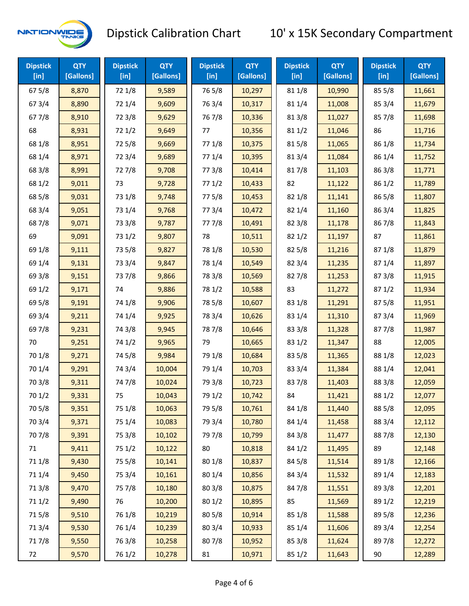

| <b>Dipstick</b><br>$[$ in] | <b>QTY</b><br>[Gallons] | <b>Dipstick</b><br>$[$ in] | <b>QTY</b><br>[Gallons] | <b>Dipstick</b><br>$[$ in] | <b>QTY</b><br>[Gallons] | <b>Dipstick</b><br>$[$ in] | <b>QTY</b><br>[Gallons] | <b>Dipstick</b><br>$[$ in] | <b>QTY</b><br>[Gallons] |
|----------------------------|-------------------------|----------------------------|-------------------------|----------------------------|-------------------------|----------------------------|-------------------------|----------------------------|-------------------------|
| 67 5/8                     | 8,870                   | 72 1/8                     | 9,589                   | 765/8                      | 10,297                  | 81 1/8                     | 10,990                  | 85 5/8                     | 11,661                  |
| 67 3/4                     | 8,890                   | 72 1/4                     | 9,609                   | 763/4                      | 10,317                  | 81 1/4                     | 11,008                  | 85 3/4                     | 11,679                  |
| 677/8                      | 8,910                   | 72 3/8                     | 9,629                   | 767/8                      | 10,336                  | 81 3/8                     | 11,027                  | 85 7/8                     | 11,698                  |
| 68                         | 8,931                   | 72 1/2                     | 9,649                   | 77                         | 10,356                  | 81 1/2                     | 11,046                  | 86                         | 11,716                  |
| 68 1/8                     | 8,951                   | 725/8                      | 9,669                   | 77 1/8                     | 10,375                  | 815/8                      | 11,065                  | 86 1/8                     | 11,734                  |
| 68 1/4                     | 8,971                   | 72 3/4                     | 9,689                   | 77 1/4                     | 10,395                  | 813/4                      | 11,084                  | 86 1/4                     | 11,752                  |
| 68 3/8                     | 8,991                   | 727/8                      | 9,708                   | 77 3/8                     | 10,414                  | 817/8                      | 11,103                  | 86 3/8                     | 11,771                  |
| 68 1/2                     | 9,011                   | 73                         | 9,728                   | 771/2                      | 10,433                  | 82                         | 11,122                  | 86 1/2                     | 11,789                  |
| 68 5/8                     | 9,031                   | 73 1/8                     | 9,748                   | 775/8                      | 10,453                  | 82 1/8                     | 11,141                  | 86 5/8                     | 11,807                  |
| 68 3/4                     | 9,051                   | 73 1/4                     | 9,768                   | 773/4                      | 10,472                  | 82 1/4                     | 11,160                  | 86 3/4                     | 11,825                  |
| 687/8                      | 9,071                   | 73 3/8                     | 9,787                   | 777/8                      | 10,491                  | 82 3/8                     | 11,178                  | 867/8                      | 11,843                  |
| 69                         | 9,091                   | 73 1/2                     | 9,807                   | 78                         | 10,511                  | 821/2                      | 11,197                  | 87                         | 11,861                  |
| 69 1/8                     | 9,111                   | 73 5/8                     | 9,827                   | 78 1/8                     | 10,530                  | 82 5/8                     | 11,216                  | 871/8                      | 11,879                  |
| 69 1/4                     | 9,131                   | 73 3/4                     | 9,847                   | 78 1/4                     | 10,549                  | 82 3/4                     | 11,235                  | 871/4                      | 11,897                  |
| 69 3/8                     | 9,151                   | 737/8                      | 9,866                   | 78 3/8                     | 10,569                  | 827/8                      | 11,253                  | 87 3/8                     | 11,915                  |
| 69 1/2                     | 9,171                   | 74                         | 9,886                   | 78 1/2                     | 10,588                  | 83                         | 11,272                  | 871/2                      | 11,934                  |
| 69 5/8                     | 9,191                   | 74 1/8                     | 9,906                   | 78 5/8                     | 10,607                  | 83 1/8                     | 11,291                  | 87 5/8                     | 11,951                  |
| 69 3/4                     | 9,211                   | 74 1/4                     | 9,925                   | 78 3/4                     | 10,626                  | 83 1/4                     | 11,310                  | 87 3/4                     | 11,969                  |
| 697/8                      | 9,231                   | 74 3/8                     | 9,945                   | 787/8                      | 10,646                  | 83 3/8                     | 11,328                  | 877/8                      | 11,987                  |
| 70                         | 9,251                   | 74 1/2                     | 9,965                   | 79                         | 10,665                  | 83 1/2                     | 11,347                  | 88                         | 12,005                  |
| 70 1/8                     | 9,271                   | 74 5/8                     | 9,984                   | 79 1/8                     | 10,684                  | 83 5/8                     | 11,365                  | 88 1/8                     | 12,023                  |
| 70 1/4                     | 9,291                   | 74 3/4                     | 10,004                  | 79 1/4                     | 10,703                  | 83 3/4                     | 11,384                  | 88 1/4                     | 12,041                  |
| 70 3/8                     | 9,311                   | 747/8                      | 10,024                  | 79 3/8                     | 10,723                  | 837/8                      | 11,403                  | 88 3/8                     | 12,059                  |
| 70 1/2                     | 9,331                   | 75                         | 10,043                  | 79 1/2                     | 10,742                  | 84                         | 11,421                  | 88 1/2                     | 12,077                  |
| 70 5/8                     | 9,351                   | 75 1/8                     | 10,063                  | 79 5/8                     | 10,761                  | 84 1/8                     | 11,440                  | 88 5/8                     | 12,095                  |
| 70 3/4                     | 9,371                   | 75 1/4                     | 10,083                  | 79 3/4                     | 10,780                  | 84 1/4                     | 11,458                  | 88 3/4                     | 12,112                  |
| 70 7/8                     | 9,391                   | 75 3/8                     | 10,102                  | 79 7/8                     | 10,799                  | 84 3/8                     | 11,477                  | 887/8                      | 12,130                  |
| 71                         | 9,411                   | 75 1/2                     | 10,122                  | 80                         | 10,818                  | 84 1/2                     | 11,495                  | 89                         | 12,148                  |
| 71 1/8                     | 9,430                   | 75 5/8                     | 10,141                  | 80 1/8                     | 10,837                  | 845/8                      | 11,514                  | 89 1/8                     | 12,166                  |
| 71 1/4                     | 9,450                   | 75 3/4                     | 10,161                  | 80 1/4                     | 10,856                  | 84 3/4                     | 11,532                  | 89 1/4                     | 12,183                  |
| 713/8                      | 9,470                   | 75 7/8                     | 10,180                  | 80 3/8                     | 10,875                  | 847/8                      | 11,551                  | 89 3/8                     | 12,201                  |
| 71 1/2                     | 9,490                   | 76                         | 10,200                  | 80 1/2                     | 10,895                  | 85                         | 11,569                  | 89 1/2                     | 12,219                  |
| 715/8                      | 9,510                   | 76 1/8                     | 10,219                  | 80 5/8                     | 10,914                  | 85 1/8                     | 11,588                  | 89 5/8                     | 12,236                  |
| 713/4                      | 9,530                   | 76 1/4                     | 10,239                  | 80 3/4                     | 10,933                  | 85 1/4                     | 11,606                  | 89 3/4                     | 12,254                  |
| 717/8                      | 9,550                   | 763/8                      | 10,258                  | 807/8                      | 10,952                  | 85 3/8                     | 11,624                  | 897/8                      | 12,272                  |
| 72                         | 9,570                   | 76 1/2                     | 10,278                  | 81                         | 10,971                  | 85 1/2                     | 11,643                  | 90                         | 12,289                  |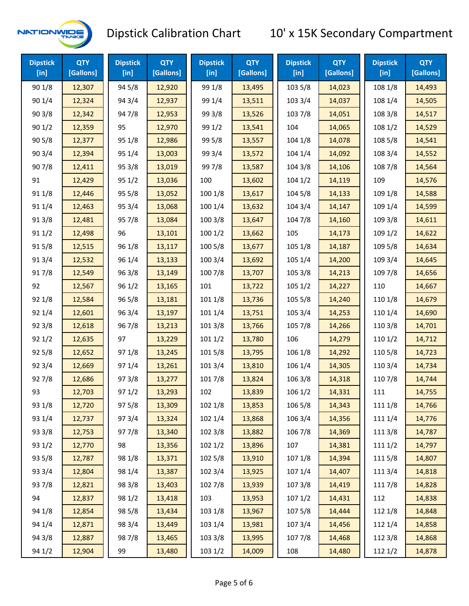

| <b>Dipstick</b><br>[ <sub>in</sub> ] | <b>QTY</b><br>[Gallons] | <b>Dipstick</b><br>[in] | <b>QTY</b><br>[Gallons] | <b>Dipstick</b><br>$[$ in] | <b>QTY</b><br>[Gallons] | <b>Dipstick</b><br>$[$ in] | <b>QTY</b><br>[Gallons] | <b>Dipstick</b><br>$[$ in] | <b>QTY</b><br>[Gallons] |
|--------------------------------------|-------------------------|-------------------------|-------------------------|----------------------------|-------------------------|----------------------------|-------------------------|----------------------------|-------------------------|
| 90 1/8                               | 12,307                  | 94 5/8                  | 12,920                  | 99 1/8                     | 13,495                  | 103 5/8                    | 14,023                  | 108 1/8                    | 14,493                  |
| 90 1/4                               | 12,324                  | 94 3/4                  | 12,937                  | 99 1/4                     | 13,511                  | 103 3/4                    | 14,037                  | 108 1/4                    | 14,505                  |
| 903/8                                | 12,342                  | 947/8                   | 12,953                  | 99 3/8                     | 13,526                  | 103 7/8                    | 14,051                  | 108 3/8                    | 14,517                  |
| 901/2                                | 12,359                  | 95                      | 12,970                  | 99 1/2                     | 13,541                  | 104                        | 14,065                  | 108 1/2                    | 14,529                  |
| 905/8                                | 12,377                  | 95 1/8                  | 12,986                  | 99 5/8                     | 13,557                  | 104 1/8                    | 14,078                  | 108 5/8                    | 14,541                  |
| 90 3/4                               | 12,394                  | 95 1/4                  | 13,003                  | 99 3/4                     | 13,572                  | 104 1/4                    | 14,092                  | 108 3/4                    | 14,552                  |
| 907/8                                | 12,411                  | 95 3/8                  | 13,019                  | 997/8                      | 13,587                  | 104 3/8                    | 14,106                  | 108 7/8                    | 14,564                  |
| 91                                   | 12,429                  | 95 1/2                  | 13,036                  | 100                        | 13,602                  | 1041/2                     | 14,119                  | 109                        | 14,576                  |
| 91 1/8                               | 12,446                  | 95 5/8                  | 13,052                  | 100 1/8                    | 13,617                  | 104 5/8                    | 14,133                  | 109 1/8                    | 14,588                  |
| 91 1/4                               | 12,463                  | 95 3/4                  | 13,068                  | 100 1/4                    | 13,632                  | 104 3/4                    | 14,147                  | 109 1/4                    | 14,599                  |
| 913/8                                | 12,481                  | 957/8                   | 13,084                  | 100 3/8                    | 13,647                  | 104 7/8                    | 14,160                  | 109 3/8                    | 14,611                  |
| 91 1/2                               | 12,498                  | 96                      | 13,101                  | 1001/2                     | 13,662                  | 105                        | 14,173                  | 109 1/2                    | 14,622                  |
| 915/8                                | 12,515                  | 96 1/8                  | 13,117                  | 100 5/8                    | 13,677                  | 105 1/8                    | 14,187                  | 109 5/8                    | 14,634                  |
| 913/4                                | 12,532                  | 96 1/4                  | 13,133                  | 100 3/4                    | 13,692                  | 105 1/4                    | 14,200                  | 109 3/4                    | 14,645                  |
| 917/8                                | 12,549                  | 96 3/8                  | 13,149                  | 100 7/8                    | 13,707                  | 105 3/8                    | 14,213                  | 109 7/8                    | 14,656                  |
| 92                                   | 12,567                  | 96 1/2                  | 13,165                  | 101                        | 13,722                  | 1051/2                     | 14,227                  | 110                        | 14,667                  |
| 92 1/8                               | 12,584                  | 96 5/8                  | 13,181                  | 101 1/8                    | 13,736                  | 105 5/8                    | 14,240                  | 110 1/8                    | 14,679                  |
| 92 1/4                               | 12,601                  | 96 3/4                  | 13,197                  | 101 1/4                    | 13,751                  | 105 3/4                    | 14,253                  | 110 1/4                    | 14,690                  |
| 923/8                                | 12,618                  | 967/8                   | 13,213                  | 1013/8                     | 13,766                  | 105 7/8                    | 14,266                  | 110 3/8                    | 14,701                  |
| 921/2                                | 12,635                  | 97                      | 13,229                  | 1011/2                     | 13,780                  | 106                        | 14,279                  | 110 1/2                    | 14,712                  |
| 925/8                                | 12,652                  | 97 1/8                  | 13,245                  | 101 5/8                    | 13,795                  | 106 1/8                    | 14,292                  | 110 5/8                    | 14,723                  |
| 92 3/4                               | 12,669                  | 97 1/4                  | 13,261                  | 101 3/4                    | 13,810                  | 106 1/4                    | 14,305                  | 110 3/4                    | 14,734                  |
| 927/8                                | 12,686                  | 973/8                   | 13,277                  | 101 7/8                    | 13,824                  | 106 3/8                    | 14,318                  | 110 7/8                    | 14,744                  |
| 93                                   | 12,703                  | 97 1/2                  | 13,293                  | 102                        | 13,839                  | 106 1/2                    | 14,331                  | 111                        | 14,755                  |
| 93 1/8                               | 12,720                  | 97 5/8                  | 13,309                  | 102 1/8                    | 13,853                  | 106 5/8                    | 14,343                  | 111 1/8                    | 14,766                  |
| 93 1/4                               | 12,737                  | 973/4                   | 13,324                  | 102 1/4                    | 13,868                  | 106 3/4                    | 14,356                  | 111 1/4                    | 14,776                  |
| 93 3/8                               | 12,753                  | 977/8                   | 13,340                  | 102 3/8                    | 13,882                  | 106 7/8                    | 14,369                  | 111 3/8                    | 14,787                  |
| 93 1/2                               | 12,770                  | 98                      | 13,356                  | 102 1/2                    | 13,896                  | 107                        | 14,381                  | 111 1/2                    | 14,797                  |
| 93 5/8                               | 12,787                  | 98 1/8                  | 13,371                  | 102 5/8                    | 13,910                  | 107 1/8                    | 14,394                  | 1115/8                     | 14,807                  |
| 93 3/4                               | 12,804                  | 98 1/4                  | 13,387                  | 102 3/4                    | 13,925                  | 107 1/4                    | 14,407                  | 111 3/4                    | 14,818                  |
| 937/8                                | 12,821                  | 98 3/8                  | 13,403                  | 102 7/8                    | 13,939                  | 1073/8                     | 14,419                  | 111 7/8                    | 14,828                  |
| 94                                   | 12,837                  | 98 1/2                  | 13,418                  | 103                        | 13,953                  | 1071/2                     | 14,431                  | 112                        | 14,838                  |
| 94 1/8                               | 12,854                  | 98 5/8                  | 13,434                  | 103 1/8                    | 13,967                  | 1075/8                     | 14,444                  | 112 1/8                    | 14,848                  |
| 94 1/4                               | 12,871                  | 98 3/4                  | 13,449                  | 103 1/4                    | 13,981                  | 107 3/4                    | 14,456                  | 112 1/4                    | 14,858                  |
| 94 3/8                               | 12,887                  | 987/8                   | 13,465                  | 103 3/8                    | 13,995                  | 1077/8                     | 14,468                  | 112 3/8                    | 14,868                  |
| 94 1/2                               | 12,904                  | 99                      | 13,480                  | 103 1/2                    | 14,009                  | 108                        | 14,480                  | 112 1/2                    | 14,878                  |